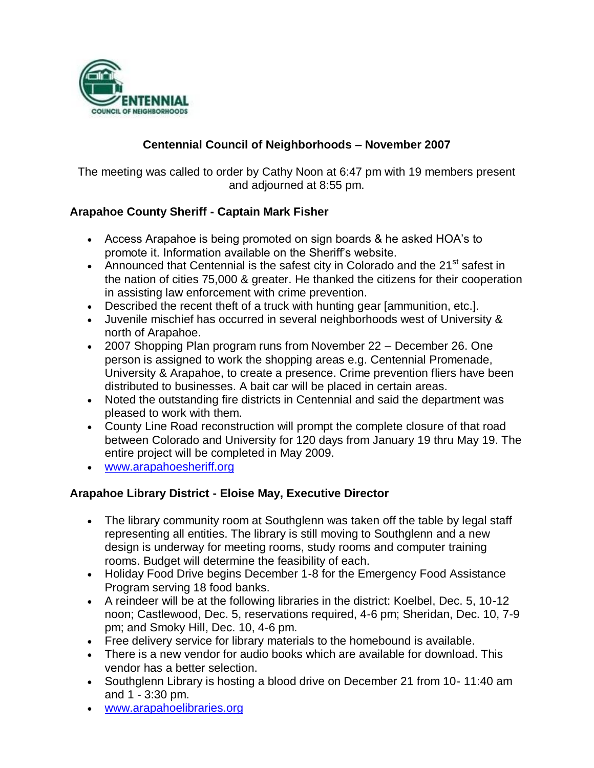

# **Centennial Council of Neighborhoods – November 2007**

The meeting was called to order by Cathy Noon at 6:47 pm with 19 members present and adjourned at 8:55 pm.

### **Arapahoe County Sheriff - Captain Mark Fisher**

- Access Arapahoe is being promoted on sign boards & he asked HOA's to promote it. Information available on the Sheriff's website.
- Announced that Centennial is the safest city in Colorado and the 21 $^{\rm st}$  safest in the nation of cities 75,000 & greater. He thanked the citizens for their cooperation in assisting law enforcement with crime prevention.
- Described the recent theft of a truck with hunting gear [ammunition, etc.].
- Juvenile mischief has occurred in several neighborhoods west of University & north of Arapahoe.
- 2007 Shopping Plan program runs from November 22 December 26. One person is assigned to work the shopping areas e.g. Centennial Promenade, University & Arapahoe, to create a presence. Crime prevention fliers have been distributed to businesses. A bait car will be placed in certain areas.
- Noted the outstanding fire districts in Centennial and said the department was pleased to work with them.
- County Line Road reconstruction will prompt the complete closure of that road between Colorado and University for 120 days from January 19 thru May 19. The entire project will be completed in May 2009.
- [www.arapahoesheriff.org](http://www.arapahoesheriff.org/)

### **Arapahoe Library District - Eloise May, Executive Director**

- The library community room at Southglenn was taken off the table by legal staff representing all entities. The library is still moving to Southglenn and a new design is underway for meeting rooms, study rooms and computer training rooms. Budget will determine the feasibility of each.
- Holiday Food Drive begins December 1-8 for the Emergency Food Assistance Program serving 18 food banks.
- A reindeer will be at the following libraries in the district: Koelbel, Dec. 5, 10-12 noon; Castlewood, Dec. 5, reservations required, 4-6 pm; Sheridan, Dec. 10, 7-9 pm; and Smoky Hill, Dec. 10, 4-6 pm.
- Free delivery service for library materials to the homebound is available.
- There is a new vendor for audio books which are available for download. This vendor has a better selection.
- Southglenn Library is hosting a blood drive on December 21 from 10-11:40 am and 1 - 3:30 pm.
- [www.arapahoelibraries.org](http://www.arapahoelibraries.org/)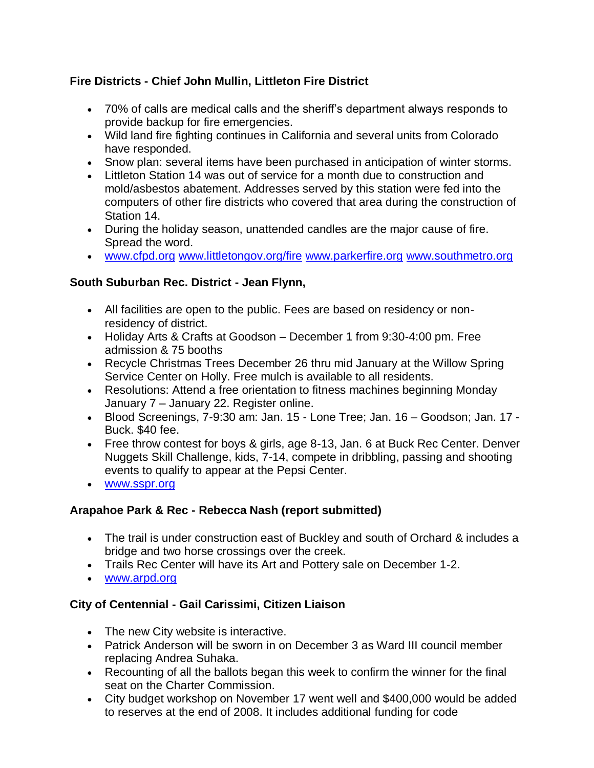# **Fire Districts - Chief John Mullin, Littleton Fire District**

- 70% of calls are medical calls and the sheriff's department always responds to provide backup for fire emergencies.
- Wild land fire fighting continues in California and several units from Colorado have responded.
- Snow plan: several items have been purchased in anticipation of winter storms.
- Littleton Station 14 was out of service for a month due to construction and mold/asbestos abatement. Addresses served by this station were fed into the computers of other fire districts who covered that area during the construction of Station 14.
- During the holiday season, unattended candles are the major cause of fire. Spread the word.
- [www.cfpd.org](http://www.cfpd.org/) [www.littletongov.org/fire](http://www.littletongov.org/fire) [www.parkerfire.org](http://www.parkerfire.org/) [www.southmetro.org](http://www.southmetro.org/)

## **South Suburban Rec. District - Jean Flynn,**

- All facilities are open to the public. Fees are based on residency or nonresidency of district.
- Holiday Arts & Crafts at Goodson December 1 from 9:30-4:00 pm. Free admission & 75 booths
- Recycle Christmas Trees December 26 thru mid January at the Willow Spring Service Center on Holly. Free mulch is available to all residents.
- Resolutions: Attend a free orientation to fitness machines beginning Monday January 7 – January 22. Register online.
- Blood Screenings, 7-9:30 am: Jan. 15 Lone Tree; Jan. 16 Goodson; Jan. 17 Buck. \$40 fee.
- Free throw contest for boys & girls, age 8-13, Jan. 6 at Buck Rec Center. Denver Nuggets Skill Challenge, kids, 7-14, compete in dribbling, passing and shooting events to qualify to appear at the Pepsi Center.
- **[www.sspr.org](http://www.sspr.org/)**

### **Arapahoe Park & Rec - Rebecca Nash (report submitted)**

- The trail is under construction east of Buckley and south of Orchard & includes a bridge and two horse crossings over the creek.
- Trails Rec Center will have its Art and Pottery sale on December 1-2.
- [www.arpd.org](http://www.arpd.org/)

# **City of Centennial - Gail Carissimi, Citizen Liaison**

- The new City website is interactive.
- Patrick Anderson will be sworn in on December 3 as Ward III council member replacing Andrea Suhaka.
- Recounting of all the ballots began this week to confirm the winner for the final seat on the Charter Commission.
- City budget workshop on November 17 went well and \$400,000 would be added to reserves at the end of 2008. It includes additional funding for code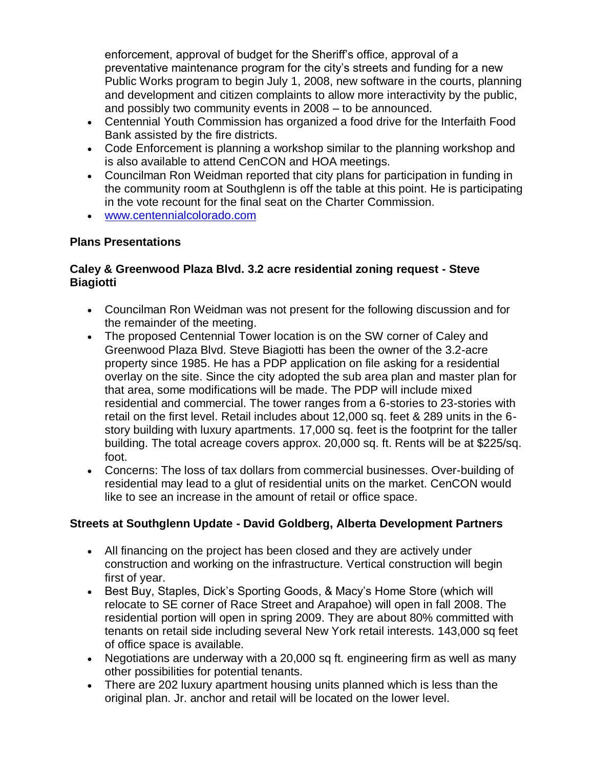enforcement, approval of budget for the Sheriff's office, approval of a preventative maintenance program for the city's streets and funding for a new Public Works program to begin July 1, 2008, new software in the courts, planning and development and citizen complaints to allow more interactivity by the public, and possibly two community events in 2008 – to be announced.

- Centennial Youth Commission has organized a food drive for the Interfaith Food Bank assisted by the fire districts.
- Code Enforcement is planning a workshop similar to the planning workshop and is also available to attend CenCON and HOA meetings.
- Councilman Ron Weidman reported that city plans for participation in funding in the community room at Southglenn is off the table at this point. He is participating in the vote recount for the final seat on the Charter Commission.
- [www.centennialcolorado.com](http://www.centennialcolorado.com/)

### **Plans Presentations**

### **Caley & Greenwood Plaza Blvd. 3.2 acre residential zoning request - Steve Biagiotti**

- Councilman Ron Weidman was not present for the following discussion and for the remainder of the meeting.
- The proposed Centennial Tower location is on the SW corner of Caley and Greenwood Plaza Blvd. Steve Biagiotti has been the owner of the 3.2-acre property since 1985. He has a PDP application on file asking for a residential overlay on the site. Since the city adopted the sub area plan and master plan for that area, some modifications will be made. The PDP will include mixed residential and commercial. The tower ranges from a 6-stories to 23-stories with retail on the first level. Retail includes about 12,000 sq. feet & 289 units in the 6 story building with luxury apartments. 17,000 sq. feet is the footprint for the taller building. The total acreage covers approx. 20,000 sq. ft. Rents will be at \$225/sq. foot.
- Concerns: The loss of tax dollars from commercial businesses. Over-building of residential may lead to a glut of residential units on the market. CenCON would like to see an increase in the amount of retail or office space.

### **Streets at Southglenn Update - David Goldberg, Alberta Development Partners**

- All financing on the project has been closed and they are actively under construction and working on the infrastructure. Vertical construction will begin first of year.
- Best Buy, Staples, Dick's Sporting Goods, & Macy's Home Store (which will relocate to SE corner of Race Street and Arapahoe) will open in fall 2008. The residential portion will open in spring 2009. They are about 80% committed with tenants on retail side including several New York retail interests. 143,000 sq feet of office space is available.
- Negotiations are underway with a 20,000 sq ft. engineering firm as well as many other possibilities for potential tenants.
- There are 202 luxury apartment housing units planned which is less than the original plan. Jr. anchor and retail will be located on the lower level.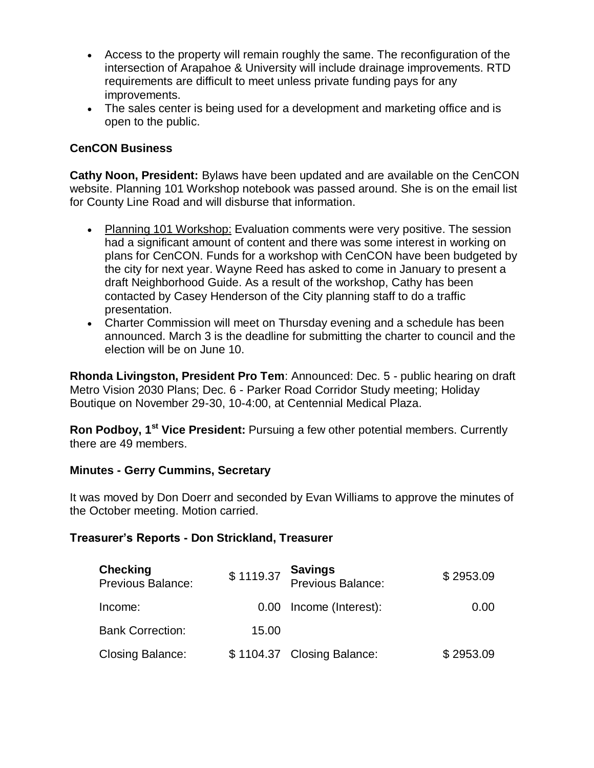- Access to the property will remain roughly the same. The reconfiguration of the intersection of Arapahoe & University will include drainage improvements. RTD requirements are difficult to meet unless private funding pays for any improvements.
- The sales center is being used for a development and marketing office and is open to the public.

### **CenCON Business**

**Cathy Noon, President:** Bylaws have been updated and are available on the CenCON website. Planning 101 Workshop notebook was passed around. She is on the email list for County Line Road and will disburse that information.

- Planning 101 Workshop: Evaluation comments were very positive. The session had a significant amount of content and there was some interest in working on plans for CenCON. Funds for a workshop with CenCON have been budgeted by the city for next year. Wayne Reed has asked to come in January to present a draft Neighborhood Guide. As a result of the workshop, Cathy has been contacted by Casey Henderson of the City planning staff to do a traffic presentation.
- Charter Commission will meet on Thursday evening and a schedule has been announced. March 3 is the deadline for submitting the charter to council and the election will be on June 10.

**Rhonda Livingston, President Pro Tem**: Announced: Dec. 5 - public hearing on draft Metro Vision 2030 Plans; Dec. 6 - Parker Road Corridor Study meeting; Holiday Boutique on November 29-30, 10-4:00, at Centennial Medical Plaza.

**Ron Podboy, 1st Vice President:** Pursuing a few other potential members. Currently there are 49 members.

### **Minutes - Gerry Cummins, Secretary**

It was moved by Don Doerr and seconded by Evan Williams to approve the minutes of the October meeting. Motion carried.

#### **Treasurer's Reports - Don Strickland, Treasurer**

| <b>Checking</b><br>Previous Balance: | \$1119.37 | <b>Savings<br/>Previous Balance:</b> | \$2953.09 |
|--------------------------------------|-----------|--------------------------------------|-----------|
| Income:                              |           | 0.00 Income (Interest):              | 0.00      |
| <b>Bank Correction:</b>              | 15.00     |                                      |           |
| <b>Closing Balance:</b>              |           | \$1104.37 Closing Balance:           | \$2953.09 |